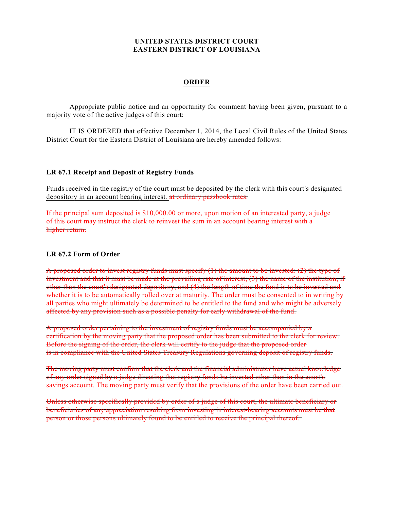## **UNITED STATES DISTRICT COURT EASTERN DISTRICT OF LOUISIANA**

## **ORDER**

Appropriate public notice and an opportunity for comment having been given, pursuant to a majority vote of the active judges of this court;

IT IS ORDERED that effective December 1, 2014, the Local Civil Rules of the United States District Court for the Eastern District of Louisiana are hereby amended follows:

## **LR 67.1 Receipt and Deposit of Registry Funds**

Funds received in the registry of the court must be deposited by the clerk with this court's designated depository in an account bearing interest. at ordinary passbook rates.

If the principal sum deposited is \$10,000.00 or more, upon motion of an interested party, a judge of this court may instruct the clerk to reinvest the sum in an account bearing interest with a higher return.

## **LR 67.2 Form of Order**

A proposed order to invest registry funds must specify  $(1)$  the amount to be invested:  $(2)$  the type of investment and that it must be made at the prevailing rate of interest; (3) the name of the institution, if other than the court's designated depository; and (4) the length of time the fund is to be invested and whether it is to be automatically rolled over at maturity. The order must be consented to in writing by all parties who might ultimately be determined to be entitled to the fund and who might be adversely affected by any provision such as a possible penalty for early withdrawal of the fund.

A proposed order pertaining to the investment of registry funds must be accompanied by a certification by the moving party that the proposed order has been submitted to the clerk for review. Before the signing of the order, the clerk will certify to the judge that the proposed order is in compliance with the United States Treasury Regulations governing deposit of registry funds.

The moving party must confirm that the clerk and the financial administrator have actual knowledge of any order signed by a judge directing that registry funds be invested other than in the court's savings account. The moving party must verify that the provisions of the order have been carried out.

Unless otherwise specifically provided by order of a judge of this court, the ultimate beneficiary or beneficiaries of any appreciation resulting from investing in interest-bearing accounts must be that person or those persons ultimately found to be entitled to receive the principal thereof.